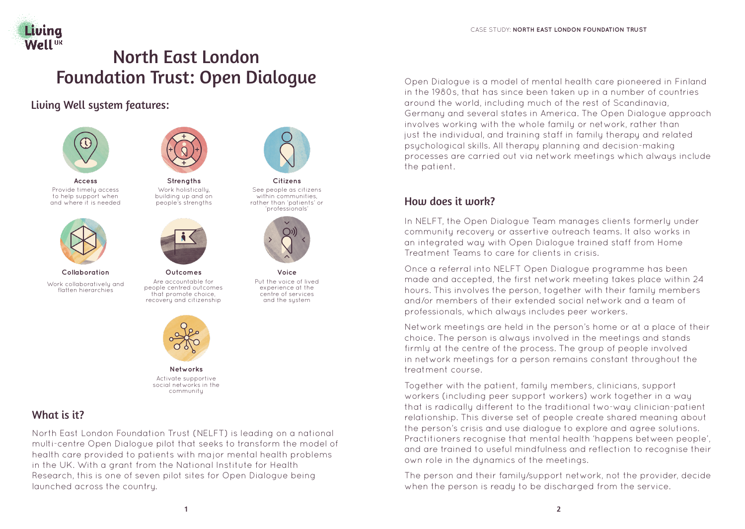

# North East London Foundation Trust: Open Dialogue

Living Well system features:



**Access** Provide timely access to help support when and where it is needed



**Collaboration** Work collaboratively and flatten hierarchies



**Strengths** Work holistically, building up and on people's strengths



**Outcomes** Are accountable for people centred outcomes that promote choice, recovery and citizenship



**Citizens** See people as citizens within communities, rather than 'patients' or 'professionals'



**Voice** Put the voice of lived experience at the centre of services and the system



Activate supportive social networks in the community

## What is it?

North East London Foundation Trust (NELFT) is leading on a national multi-centre Open Dialogue pilot that seeks to transform the model of health care provided to patients with major mental health problems in the UK. With a grant from the National Institute for Health Research, this is one of seven pilot sites for Open Dialogue being launched across the country.

Open Dialogue is a model of mental health care pioneered in Finland in the 1980s, that has since been taken up in a number of countries around the world, including much of the rest of Scandinavia, Germany and several states in America. The Open Dialogue approach involves working with the whole family or network, rather than just the individual, and training staff in family therapy and related psychological skills. All therapy planning and decision-making processes are carried out via network meetings which always include the patient.

## How does it work?

In NELFT, the Open Dialogue Team manages clients formerly under community recovery or assertive outreach teams. It also works in an integrated way with Open Dialogue trained staff from Home Treatment Teams to care for clients in crisis.

Once a referral into NELFT Open Dialogue programme has been made and accepted, the first network meeting takes place within 24 hours. This involves the person, together with their family members and/or members of their extended social network and a team of professionals, which always includes peer workers.

Network meetings are held in the person's home or at a place of their choice. The person is always involved in the meetings and stands firmly at the centre of the process. The group of people involved in network meetings for a person remains constant throughout the treatment course.

Together with the patient, family members, clinicians, support workers (including peer support workers) work together in a way that is radically different to the traditional two-way clinician-patient relationship. This diverse set of people create shared meaning about the person's crisis and use dialogue to explore and agree solutions. Practitioners recognise that mental health 'happens between people', and are trained to useful mindfulness and reflection to recognise their own role in the dynamics of the meetings.

The person and their family/support network, not the provider, decide when the person is ready to be discharged from the service.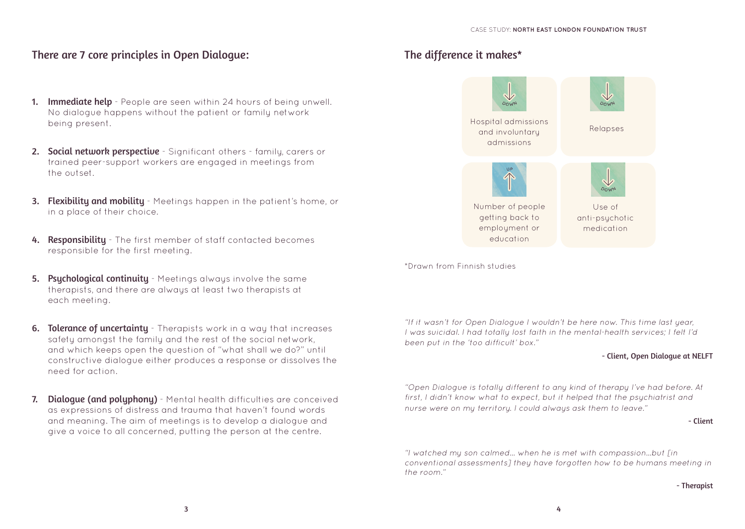### There are 7 core principles in Open Dialogue:

- 1. Immediate help People are seen within 24 hours of being unwell. No dialogue happens without the patient or family network being present.
- 2. Social network perspective Significant others family, carers or trained peer-support workers are engaged in meetings from the outset.
- **3. Flexibility and mobility** Meetings happen in the patient's home, or in a place of their choice.
- 4. Responsibility The first member of staff contacted becomes responsible for the first meeting.
- **5. Psychological continuity** Meetings always involve the same therapists, and there are always at least two therapists at each meeting.
- **6. Tolerance of uncertainty** Therapists work in a way that increases safety amongst the family and the rest of the social network, and which keeps open the question of "what shall we do?" until constructive dialogue either produces a response or dissolves the need for action.
- 7. Dialoque (and polyphony) Mental health difficulties are conceived as expressions of distress and trauma that haven't found words and meaning. The aim of meetings is to develop a dialogue and give a voice to all concerned, putting the person at the centre.

### The difference it makes\*



\*Drawn from Finnish studies

"If it wasn't for Open Dialogue I wouldn't be here now. This time last year, I was suicidal. I had totally lost faith in the mental-health services; I felt I'd been put in the 'too difficult' box."

#### - Client, Open Dialogue at NELFT

"Open Dialogue is totally different to any kind of therapy I've had before. At first, I didn't know what to expect, but it helped that the psychiatrist and nurse were on my territory. I could always ask them to leave."

- Client

"I watched my son calmed… when he is met with compassion…but [in conventional assessments] they have forgotten how to be humans meeting in the room."

#### - Therapist